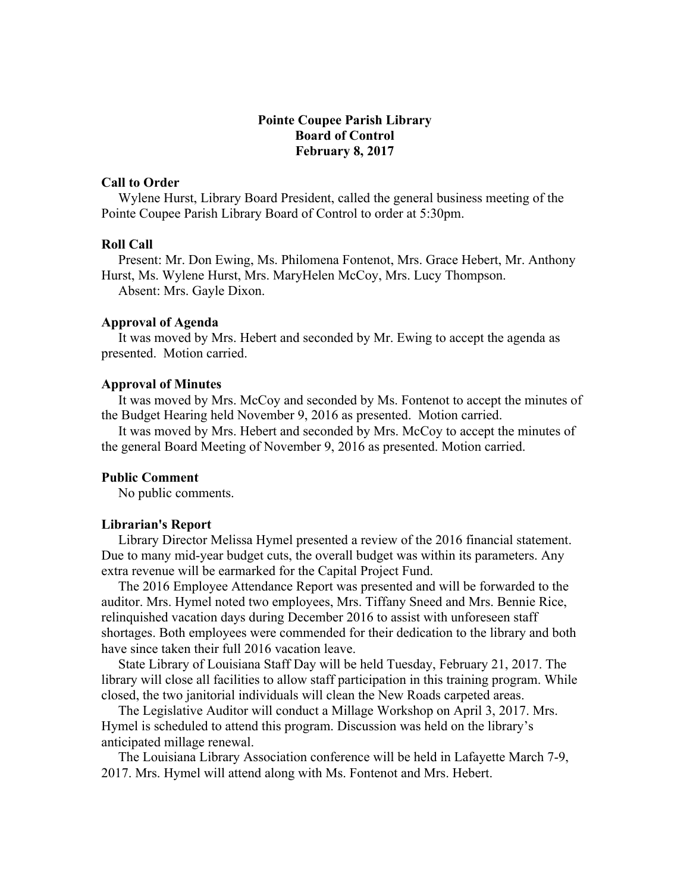# **Pointe Coupee Parish Library Board of Control February 8, 2017**

## **Call to Order**

 Wylene Hurst, Library Board President, called the general business meeting of the Pointe Coupee Parish Library Board of Control to order at 5:30pm.

### **Roll Call**

 Present: Mr. Don Ewing, Ms. Philomena Fontenot, Mrs. Grace Hebert, Mr. Anthony Hurst, Ms. Wylene Hurst, Mrs. MaryHelen McCoy, Mrs. Lucy Thompson. Absent: Mrs. Gayle Dixon.

### **Approval of Agenda**

 It was moved by Mrs. Hebert and seconded by Mr. Ewing to accept the agenda as presented. Motion carried.

# **Approval of Minutes**

 It was moved by Mrs. McCoy and seconded by Ms. Fontenot to accept the minutes of the Budget Hearing held November 9, 2016 as presented. Motion carried.

 It was moved by Mrs. Hebert and seconded by Mrs. McCoy to accept the minutes of the general Board Meeting of November 9, 2016 as presented. Motion carried.

## **Public Comment**

No public comments.

#### **Librarian's Report**

 Library Director Melissa Hymel presented a review of the 2016 financial statement. Due to many mid-year budget cuts, the overall budget was within its parameters. Any extra revenue will be earmarked for the Capital Project Fund.

 The 2016 Employee Attendance Report was presented and will be forwarded to the auditor. Mrs. Hymel noted two employees, Mrs. Tiffany Sneed and Mrs. Bennie Rice, relinquished vacation days during December 2016 to assist with unforeseen staff shortages. Both employees were commended for their dedication to the library and both have since taken their full 2016 vacation leave.

 State Library of Louisiana Staff Day will be held Tuesday, February 21, 2017. The library will close all facilities to allow staff participation in this training program. While closed, the two janitorial individuals will clean the New Roads carpeted areas.

 The Legislative Auditor will conduct a Millage Workshop on April 3, 2017. Mrs. Hymel is scheduled to attend this program. Discussion was held on the library's anticipated millage renewal.

 The Louisiana Library Association conference will be held in Lafayette March 7-9, 2017. Mrs. Hymel will attend along with Ms. Fontenot and Mrs. Hebert.